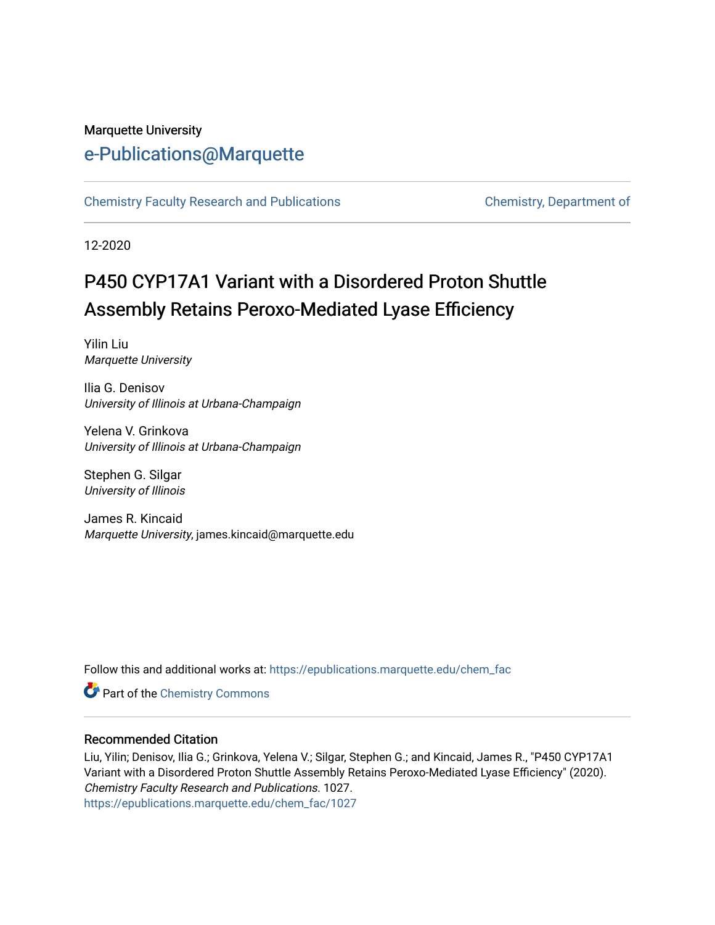#### Marquette University [e-Publications@Marquette](https://epublications.marquette.edu/)

[Chemistry Faculty Research and Publications](https://epublications.marquette.edu/chem_fac) **Chemistry, Department of** 

12-2020

# P450 CYP17A1 Variant with a Disordered Proton Shuttle Assembly Retains Peroxo-Mediated Lyase Efficiency

Yilin Liu Marquette University

Ilia G. Denisov University of Illinois at Urbana-Champaign

Yelena V. Grinkova University of Illinois at Urbana-Champaign

Stephen G. Silgar University of Illinois

James R. Kincaid Marquette University, james.kincaid@marquette.edu

Follow this and additional works at: [https://epublications.marquette.edu/chem\\_fac](https://epublications.marquette.edu/chem_fac?utm_source=epublications.marquette.edu%2Fchem_fac%2F1027&utm_medium=PDF&utm_campaign=PDFCoverPages) 

**Part of the Chemistry Commons** 

#### Recommended Citation

Liu, Yilin; Denisov, Ilia G.; Grinkova, Yelena V.; Silgar, Stephen G.; and Kincaid, James R., "P450 CYP17A1 Variant with a Disordered Proton Shuttle Assembly Retains Peroxo-Mediated Lyase Efficiency" (2020). Chemistry Faculty Research and Publications. 1027. [https://epublications.marquette.edu/chem\\_fac/1027](https://epublications.marquette.edu/chem_fac/1027?utm_source=epublications.marquette.edu%2Fchem_fac%2F1027&utm_medium=PDF&utm_campaign=PDFCoverPages)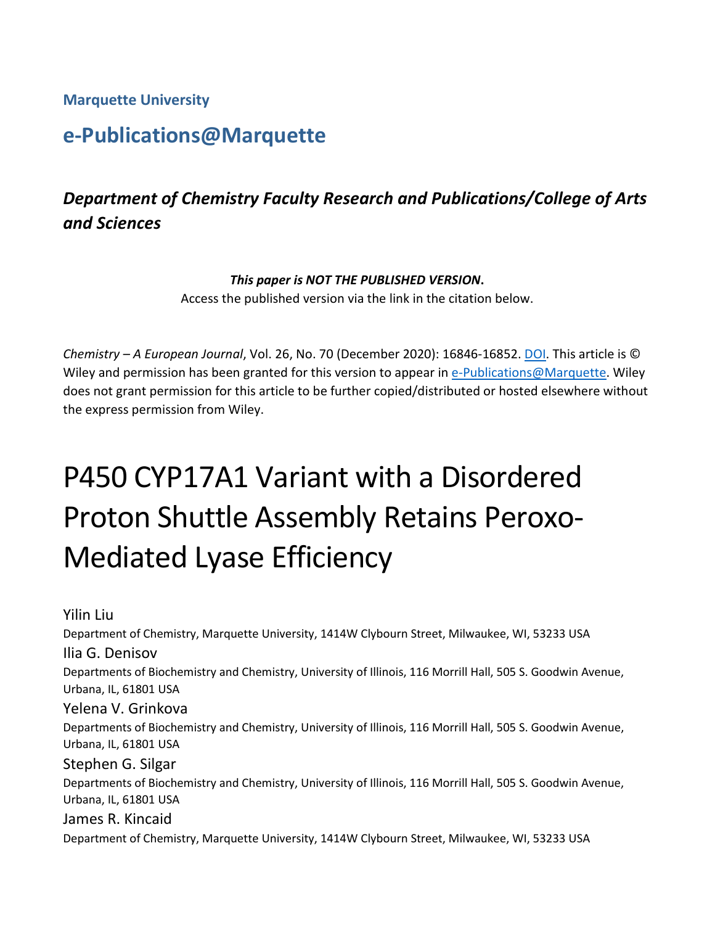**Marquette University**

# **e-Publications@Marquette**

# *Department of Chemistry Faculty Research and Publications/College of Arts and Sciences*

#### *This paper is NOT THE PUBLISHED VERSION***.**

Access the published version via the link in the citation below.

*Chemistry – A European Journal*, Vol. 26, No. 70 (December 2020): 16846-16852. [DOI.](http://doi.org/10.1002/chem.202003181) This article is © Wiley and permission has been granted for this version to appear in [e-Publications@Marquette.](http://epublications.marquette.edu/) Wiley does not grant permission for this article to be further copied/distributed or hosted elsewhere without the express permission from Wiley.

# P450 CYP17A1 Variant with a Disordered Proton Shuttle Assembly Retains Peroxo-Mediated Lyase Efficiency

Yilin Liu Department of Chemistry, Marquette University, 1414W Clybourn Street, Milwaukee, WI, 53233 USA Ilia G. Denisov Departments of Biochemistry and Chemistry, University of Illinois, 116 Morrill Hall, 505 S. Goodwin Avenue, Urbana, IL, 61801 USA Yelena V. Grinkova Departments of Biochemistry and Chemistry, University of Illinois, 116 Morrill Hall, 505 S. Goodwin Avenue, Urbana, IL, 61801 USA Stephen G. Silgar Departments of Biochemistry and Chemistry, University of Illinois, 116 Morrill Hall, 505 S. Goodwin Avenue, Urbana, IL, 61801 USA James R. Kincaid Department of Chemistry, Marquette University, 1414W Clybourn Street, Milwaukee, WI, 53233 USA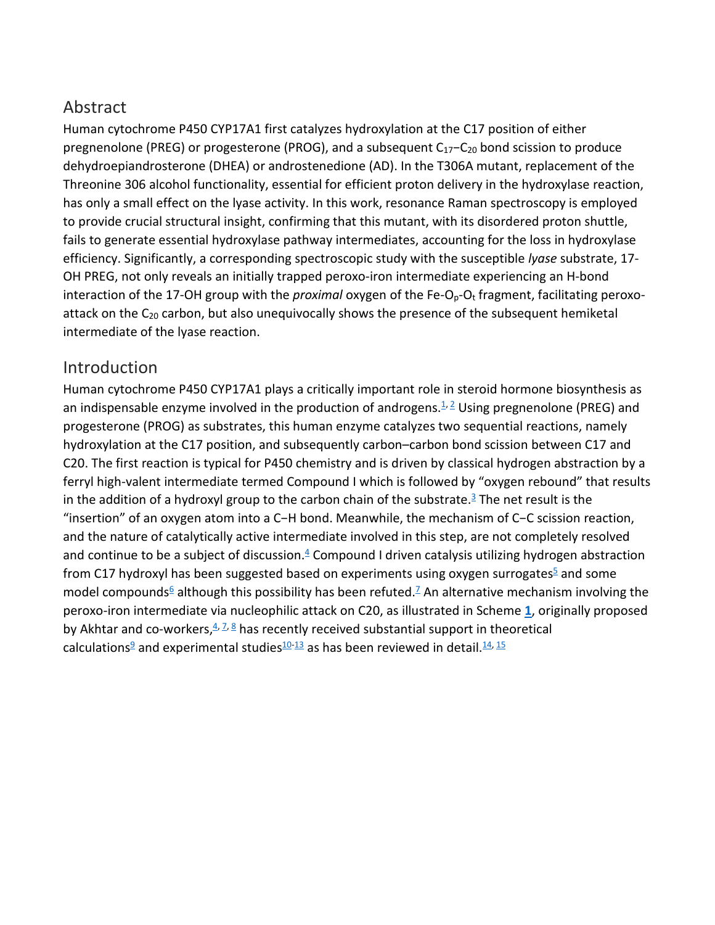### Abstract

Human cytochrome P450 CYP17A1 first catalyzes hydroxylation at the C17 position of either pregnenolone (PREG) or progesterone (PROG), and a subsequent C<sub>17</sub>−C<sub>20</sub> bond scission to produce dehydroepiandrosterone (DHEA) or androstenedione (AD). In the T306A mutant, replacement of the Threonine 306 alcohol functionality, essential for efficient proton delivery in the hydroxylase reaction, has only a small effect on the lyase activity. In this work, resonance Raman spectroscopy is employed to provide crucial structural insight, confirming that this mutant, with its disordered proton shuttle, fails to generate essential hydroxylase pathway intermediates, accounting for the loss in hydroxylase efficiency. Significantly, a corresponding spectroscopic study with the susceptible *lyase* substrate, 17- OH PREG, not only reveals an initially trapped peroxo-iron intermediate experiencing an H-bond interaction of the 17-OH group with the *proximal* oxygen of the Fe-O<sub>p</sub>-O<sub>t</sub> fragment, facilitating peroxoattack on the  $C_{20}$  carbon, but also unequivocally shows the presence of the subsequent hemiketal intermediate of the lyase reaction.

#### **Introduction**

Human cytochrome P450 CYP17A1 plays a critically important role in steroid hormone biosynthesis as an indispensable enzyme involved in the production of androgens. $1/2$  $1/2$  Using pregnenolone (PREG) and progesterone (PROG) as substrates, this human enzyme catalyzes two sequential reactions, namely hydroxylation at the C17 position, and subsequently carbon–carbon bond scission between C17 and C20. The first reaction is typical for P450 chemistry and is driven by classical hydrogen abstraction by a ferryl high-valent intermediate termed Compound I which is followed by "oxygen rebound" that results in the addition of a hydroxyl group to the carbon chain of the substrate.<sup>3</sup> The net result is the "insertion" of an oxygen atom into a C−H bond. Meanwhile, the mechanism of C−C scission reaction, and the nature of catalytically active intermediate involved in this step, are not completely resolved and continue to be a subject of discussion. $4 \text{ Compound I}$  driven catalysis utilizing hydrogen abstraction from C17 hydroxyl has been suggested based on experiments using oxygen surrogates<sup>5</sup> and some model compounds<sup>6</sup> although this possibility has been refuted.<sup>7</sup> An alternative mechanism involving the peroxo-iron intermediate via nucleophilic attack on C20, as illustrated in Scheme **[1](https://chemistry-europe.onlinelibrary.wiley.com/doi/10.1002/chem.202003181#chem202003181-fig-5001)**, originally proposed by Akhtar and co-workers,  $4^{2}$ ,  $8^{8}$  $8^{8}$  has recently received substantial support in theoretical calculations<sup>9</sup> and experimental studies<sup>10[-13](https://chemistry-europe.onlinelibrary.wiley.com/doi/10.1002/chem.202003181#chem202003181-bib-0013)</sup> as has been reviewed in detail.<sup>14, [15](https://chemistry-europe.onlinelibrary.wiley.com/doi/10.1002/chem.202003181#chem202003181-bib-0015)</sup>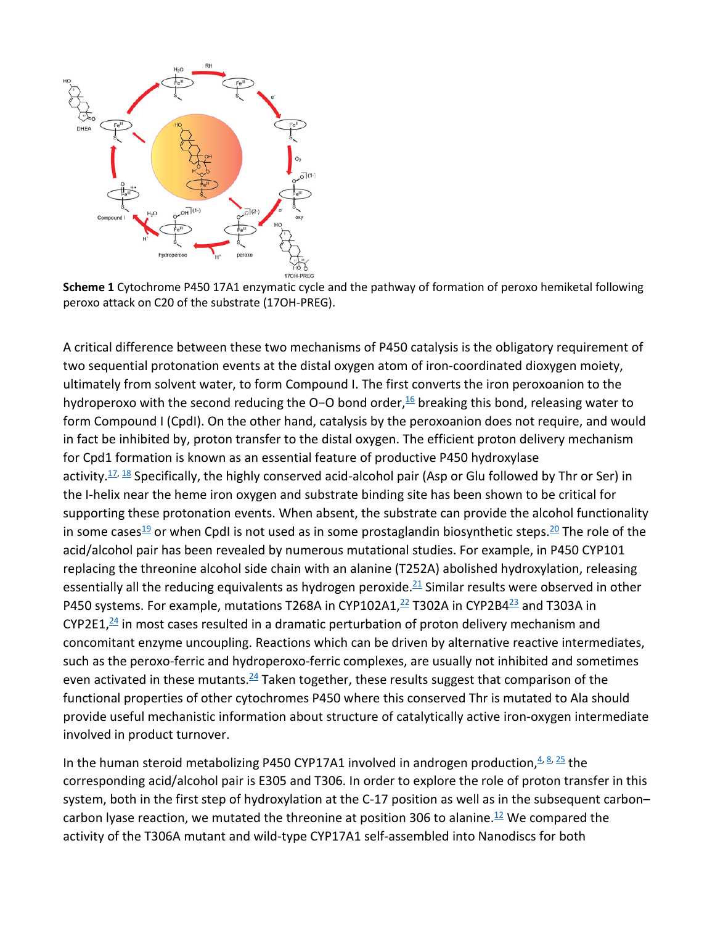

**Scheme 1** Cytochrome P450 17A1 enzymatic cycle and the pathway of formation of peroxo hemiketal following peroxo attack on C20 of the substrate (17OH-PREG).

A critical difference between these two mechanisms of P450 catalysis is the obligatory requirement of two sequential protonation events at the distal oxygen atom of iron-coordinated dioxygen moiety, ultimately from solvent water, to form Compound I. The first converts the iron peroxoanion to the hydroperoxo with the second reducing the O-O bond order,<sup>[16](https://chemistry-europe.onlinelibrary.wiley.com/doi/10.1002/chem.202003181#chem202003181-bib-0016)</sup> breaking this bond, releasing water to form Compound I (CpdI). On the other hand, catalysis by the peroxoanion does not require, and would in fact be inhibited by, proton transfer to the distal oxygen. The efficient proton delivery mechanism for Cpd1 formation is known as an essential feature of productive P450 hydroxylase activity. $\frac{17}{12}$ ,  $\frac{18}{18}$  $\frac{18}{18}$  $\frac{18}{18}$  Specifically, the highly conserved acid-alcohol pair (Asp or Glu followed by Thr or Ser) in the I-helix near the heme iron oxygen and substrate binding site has been shown to be critical for supporting these protonation events. When absent, the substrate can provide the alcohol functionality in some cases<sup>19</sup> or when CpdI is not used as in some prostaglandin biosynthetic steps.<sup>20</sup> The role of the acid/alcohol pair has been revealed by numerous mutational studies. For example, in P450 CYP101 replacing the threonine alcohol side chain with an alanine (T252A) abolished hydroxylation, releasing essentially all the reducing equivalents as hydrogen peroxide.<sup>21</sup> Similar results were observed in other P450 systems. For example, mutations T268A in CYP102A1, $^{22}$  T302A in CYP2B4 $^{23}$  and T303A in CYP2E1, $\frac{24}{1}$  in most cases resulted in a dramatic perturbation of proton delivery mechanism and concomitant enzyme uncoupling. Reactions which can be driven by alternative reactive intermediates, such as the peroxo-ferric and hydroperoxo-ferric complexes, are usually not inhibited and sometimes even activated in these mutants.<sup>24</sup> Taken together, these results suggest that comparison of the functional properties of other cytochromes P450 where this conserved Thr is mutated to Ala should provide useful mechanistic information about structure of catalytically active iron-oxygen intermediate involved in product turnover.

In the human steroid metabolizing P450 CYP17A1 involved in androgen production,  $4.8$ ,  $25$  the corresponding acid/alcohol pair is E305 and T306. In order to explore the role of proton transfer in this system, both in the first step of hydroxylation at the C-17 position as well as in the subsequent carbon– carbon lyase reaction, we mutated the threonine at position 306 to alanine.<sup>12</sup> We compared the activity of the T306A mutant and wild-type CYP17A1 self-assembled into Nanodiscs for both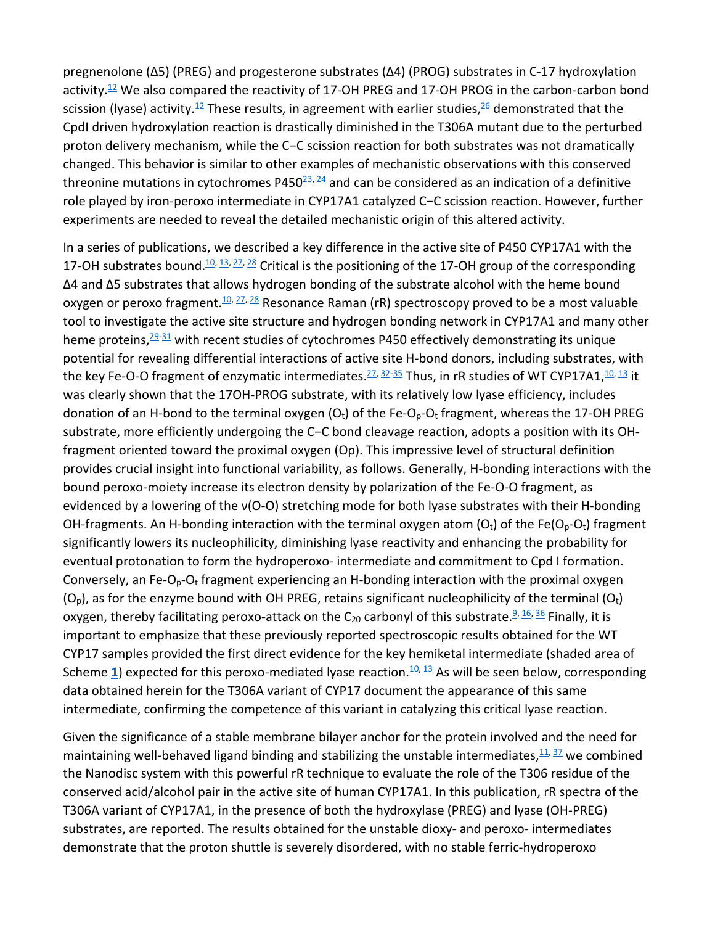pregnenolone (Δ5) (PREG) and progesterone substrates (Δ4) (PROG) substrates in C-17 hydroxylation activity. $12$  We also compared the reactivity of 17-OH PREG and 17-OH PROG in the carbon-carbon bond scission (lyase) activity.<sup>[12](https://chemistry-europe.onlinelibrary.wiley.com/doi/10.1002/chem.202003181#chem202003181-bib-0012)</sup> These results, in agreement with earlier studies,<sup>26</sup> demonstrated that the CpdI driven hydroxylation reaction is drastically diminished in the T306A mutant due to the perturbed proton delivery mechanism, while the C−C scission reaction for both substrates was not dramatically changed. This behavior is similar to other examples of mechanistic observations with this conserved threonine mutations in cytochromes P450 $^{23}$ ,  $^{24}$  $^{24}$  $^{24}$  and can be considered as an indication of a definitive role played by iron-peroxo intermediate in CYP17A1 catalyzed C−C scission reaction. However, further experiments are needed to reveal the detailed mechanistic origin of this altered activity.

In a series of publications, we described a key difference in the active site of P450 CYP17A1 with the 17-OH substrates bound.<sup>10, [13,](https://chemistry-europe.onlinelibrary.wiley.com/doi/10.1002/chem.202003181#chem202003181-bib-0013) [27,](https://chemistry-europe.onlinelibrary.wiley.com/doi/10.1002/chem.202003181#chem202003181-bib-0027) [28](https://chemistry-europe.onlinelibrary.wiley.com/doi/10.1002/chem.202003181#chem202003181-bib-0028)</sup> Critical is the positioning of the 17-OH group of the corresponding Δ4 and Δ5 substrates that allows hydrogen bonding of the substrate alcohol with the heme bound oxygen or peroxo fragment.<sup>10, [27,](https://chemistry-europe.onlinelibrary.wiley.com/doi/10.1002/chem.202003181#chem202003181-bib-0027) [28](https://chemistry-europe.onlinelibrary.wiley.com/doi/10.1002/chem.202003181#chem202003181-bib-0028)</sup> Resonance Raman (rR) spectroscopy proved to be a most valuable tool to investigate the active site structure and hydrogen bonding network in CYP17A1 and many other heme proteins,  $29-31$  $29-31$  with recent studies of cytochromes P450 effectively demonstrating its unique potential for revealing differential interactions of active site H-bond donors, including substrates, with the key Fe-O-O fragment of enzymatic intermediates.  $27, 32-35$  $27, 32-35$  $27, 32-35$  Thus, in rR studies of WT CYP17A1,  $10, 13$  $10, 13$  it was clearly shown that the 17OH-PROG substrate, with its relatively low lyase efficiency, includes donation of an H-bond to the terminal oxygen ( $O<sub>t</sub>$ ) of the Fe- $O<sub>p</sub>$ - $O<sub>t</sub>$  fragment, whereas the 17-OH PREG substrate, more efficiently undergoing the C−C bond cleavage reaction, adopts a position with its OHfragment oriented toward the proximal oxygen (Op). This impressive level of structural definition provides crucial insight into functional variability, as follows. Generally, H-bonding interactions with the bound peroxo-moiety increase its electron density by polarization of the Fe-O-O fragment, as evidenced by a lowering of the ν(O-O) stretching mode for both lyase substrates with their H-bonding OH-fragments. An H-bonding interaction with the terminal oxygen atom  $(O_t)$  of the Fe( $O_p$ - $O_t$ ) fragment significantly lowers its nucleophilicity, diminishing lyase reactivity and enhancing the probability for eventual protonation to form the hydroperoxo- intermediate and commitment to Cpd I formation. Conversely, an Fe-O<sub>p</sub>-O<sub>t</sub> fragment experiencing an H-bonding interaction with the proximal oxygen  $(O<sub>0</sub>)$ , as for the enzyme bound with OH PREG, retains significant nucleophilicity of the terminal  $(O<sub>t</sub>)$ oxygen, thereby facilitating peroxo-attack on the  $C_{20}$  carbonyl of this substrate.<sup>9, [16,](https://chemistry-europe.onlinelibrary.wiley.com/doi/10.1002/chem.202003181#chem202003181-bib-0016) [36](https://chemistry-europe.onlinelibrary.wiley.com/doi/10.1002/chem.202003181#chem202003181-bib-0036)</sup> Finally, it is important to emphasize that these previously reported spectroscopic results obtained for the WT CYP17 samples provided the first direct evidence for the key hemiketal intermediate (shaded area of Scheme [1](https://chemistry-europe.onlinelibrary.wiley.com/doi/10.1002/chem.202003181#chem202003181-fig-5001)) expected for this peroxo-mediated lyase reaction.<sup>10, [13](https://chemistry-europe.onlinelibrary.wiley.com/doi/10.1002/chem.202003181#chem202003181-bib-0013)</sup> As will be seen below, corresponding data obtained herein for the T306A variant of CYP17 document the appearance of this same intermediate, confirming the competence of this variant in catalyzing this critical lyase reaction.

Given the significance of a stable membrane bilayer anchor for the protein involved and the need for maintaining well-behaved ligand binding and stabilizing the unstable intermediates,  $^{11}$ ,  $^{37}$  $^{37}$  $^{37}$  we combined the Nanodisc system with this powerful rR technique to evaluate the role of the T306 residue of the conserved acid/alcohol pair in the active site of human CYP17A1. In this publication, rR spectra of the T306A variant of CYP17A1, in the presence of both the hydroxylase (PREG) and lyase (OH-PREG) substrates, are reported. The results obtained for the unstable dioxy- and peroxo- intermediates demonstrate that the proton shuttle is severely disordered, with no stable ferric-hydroperoxo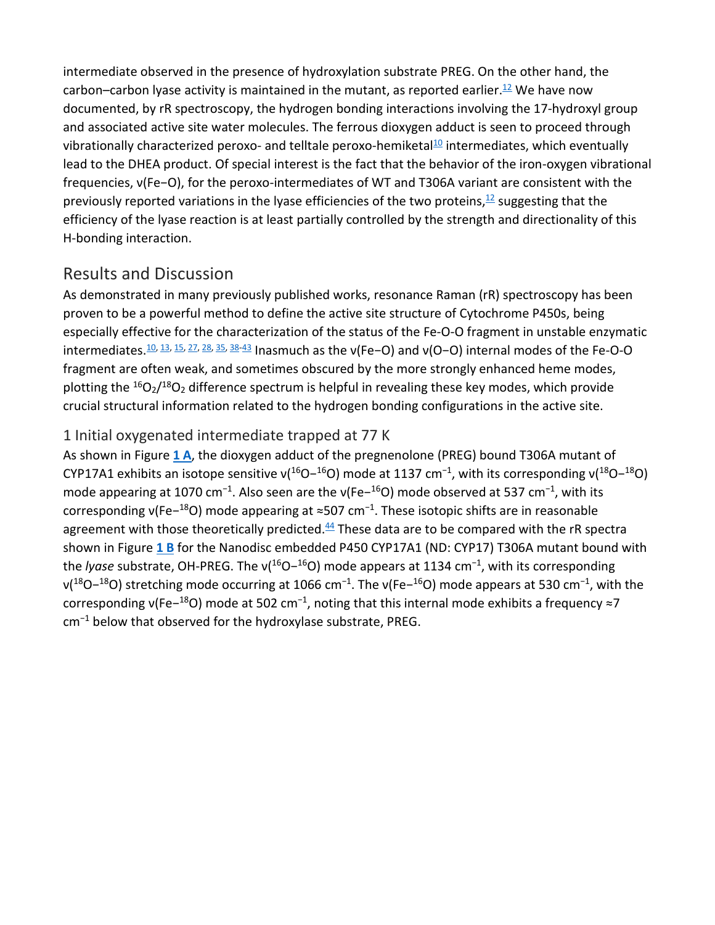intermediate observed in the presence of hydroxylation substrate PREG. On the other hand, the carbon–carbon lyase activity is maintained in the mutant, as reported earlier.<sup>12</sup> We have now documented, by rR spectroscopy, the hydrogen bonding interactions involving the 17-hydroxyl group and associated active site water molecules. The ferrous dioxygen adduct is seen to proceed through vibrationally characterized peroxo- and telltale peroxo-hemiketal $10$  intermediates, which eventually lead to the DHEA product. Of special interest is the fact that the behavior of the iron-oxygen vibrational frequencies, ν(Fe−O), for the peroxo-intermediates of WT and T306A variant are consistent with the previously reported variations in the lyase efficiencies of the two proteins, $\frac{12}{12}$  suggesting that the efficiency of the lyase reaction is at least partially controlled by the strength and directionality of this H-bonding interaction.

### Results and Discussion

As demonstrated in many previously published works, resonance Raman (rR) spectroscopy has been proven to be a powerful method to define the active site structure of Cytochrome P450s, being especially effective for the characterization of the status of the Fe-O-O fragment in unstable enzymatic intermediates[.10,](https://chemistry-europe.onlinelibrary.wiley.com/doi/10.1002/chem.202003181#chem202003181-bib-0010) [13,](https://chemistry-europe.onlinelibrary.wiley.com/doi/10.1002/chem.202003181#chem202003181-bib-0013) [15,](https://chemistry-europe.onlinelibrary.wiley.com/doi/10.1002/chem.202003181#chem202003181-bib-0015) [27,](https://chemistry-europe.onlinelibrary.wiley.com/doi/10.1002/chem.202003181#chem202003181-bib-0027) [28,](https://chemistry-europe.onlinelibrary.wiley.com/doi/10.1002/chem.202003181#chem202003181-bib-0028) [35,](https://chemistry-europe.onlinelibrary.wiley.com/doi/10.1002/chem.202003181#chem202003181-bib-0035) [38](https://chemistry-europe.onlinelibrary.wiley.com/doi/10.1002/chem.202003181#chem202003181-bib-0038)[-43](https://chemistry-europe.onlinelibrary.wiley.com/doi/10.1002/chem.202003181#chem202003181-bib-0043) Inasmuch as the ν(Fe−O) and ν(O−O) internal modes of the Fe-O-O fragment are often weak, and sometimes obscured by the more strongly enhanced heme modes, plotting the  ${}^{16}O_2/{}^{18}O_2$  difference spectrum is helpful in revealing these key modes, which provide crucial structural information related to the hydrogen bonding configurations in the active site.

#### 1 Initial oxygenated intermediate trapped at 77 K

As shown in Figure **[1 A](https://chemistry-europe.onlinelibrary.wiley.com/doi/10.1002/chem.202003181#chem202003181-fig-0001)**, the dioxygen adduct of the pregnenolone (PREG) bound T306A mutant of CYP17A1 exhibits an isotope sensitive v( $^{16}O^{-16}O$ ) mode at 1137 cm<sup>-1</sup>, with its corresponding v( $^{18}O^{-18}O$ ) mode appearing at 1070 cm<sup>-1</sup>. Also seen are the v(Fe-<sup>16</sup>O) mode observed at 537 cm<sup>-1</sup>, with its corresponding  $v(Fe^{-18}O)$  mode appearing at ≈507 cm<sup>-1</sup>. These isotopic shifts are in reasonable agreement with those theoretically predicted. $44$  These data are to be compared with the rR spectra shown in Figure **[1 B](https://chemistry-europe.onlinelibrary.wiley.com/doi/10.1002/chem.202003181#chem202003181-fig-0001)** for the Nanodisc embedded P450 CYP17A1 (ND: CYP17) T306A mutant bound with the *lyase* substrate, OH-PREG. The ν(<sup>16</sup>O−<sup>16</sup>O) mode appears at 1134 cm<sup>-1</sup>, with its corresponding  $v(18O-18O)$  stretching mode occurring at 1066 cm<sup>-1</sup>. The  $v(Fe-16O)$  mode appears at 530 cm<sup>-1</sup>, with the corresponding v(Fe−<sup>18</sup>O) mode at 502 cm<sup>-1</sup>, noting that this internal mode exhibits a frequency ≈7 cm<sup>−</sup><sup>1</sup> below that observed for the hydroxylase substrate, PREG.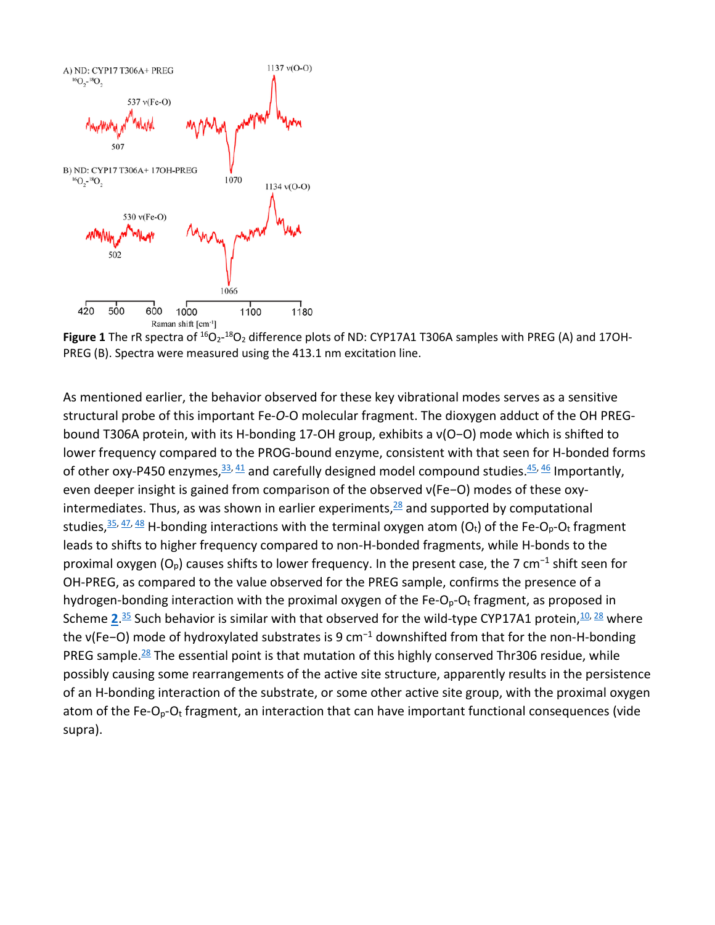

**Figure 1** The rR spectra of <sup>16</sup>O<sub>2</sub>-<sup>18</sup>O<sub>2</sub> difference plots of ND: CYP17A1 T306A samples with PREG (A) and 17OH-PREG (B). Spectra were measured using the 413.1 nm excitation line.

As mentioned earlier, the behavior observed for these key vibrational modes serves as a sensitive structural probe of this important Fe-*O*-O molecular fragment. The dioxygen adduct of the OH PREGbound T306A protein, with its H-bonding 17-OH group, exhibits a ν(O−O) mode which is shifted to lower frequency compared to the PROG-bound enzyme, consistent with that seen for H-bonded forms of other oxy-P450 enzymes,  $\frac{33}{41}$  $\frac{33}{41}$  $\frac{33}{41}$  and carefully designed model compound studies.  $\frac{45}{46}$  $\frac{45}{46}$  $\frac{45}{46}$  Importantly, even deeper insight is gained from comparison of the observed ν(Fe−O) modes of these oxyintermediates. Thus, as was shown in earlier experiments, $28$  and supported by computational studies,  $35, 47, 48$  $35, 47, 48$  $35, 47, 48$  $35, 47, 48$  H-bonding interactions with the terminal oxygen atom (O<sub>t</sub>) of the Fe-O<sub>p</sub>-O<sub>t</sub> fragment leads to shifts to higher frequency compared to non-H-bonded fragments, while H-bonds to the proximal oxygen  $(O_p)$  causes shifts to lower frequency. In the present case, the 7 cm<sup>-1</sup> shift seen for OH-PREG, as compared to the value observed for the PREG sample, confirms the presence of a hydrogen-bonding interaction with the proximal oxygen of the Fe- $O_p-O_t$  fragment, as proposed in Scheme [2](https://chemistry-europe.onlinelibrary.wiley.com/doi/10.1002/chem.202003181#chem202003181-fig-5002).<sup>[35](https://chemistry-europe.onlinelibrary.wiley.com/doi/10.1002/chem.202003181#chem202003181-bib-0035)</sup> Such behavior is similar with that observed for the wild-type CYP17A1 protein,<sup>10, [28](https://chemistry-europe.onlinelibrary.wiley.com/doi/10.1002/chem.202003181#chem202003181-bib-0028)</sup> where the v(Fe−O) mode of hydroxylated substrates is 9 cm<sup>-1</sup> downshifted from that for the non-H-bonding PREG sample.<sup>28</sup> The essential point is that mutation of this highly conserved Thr306 residue, while possibly causing some rearrangements of the active site structure, apparently results in the persistence of an H-bonding interaction of the substrate, or some other active site group, with the proximal oxygen atom of the Fe-O<sub>p</sub>-O<sub>t</sub> fragment, an interaction that can have important functional consequences (vide supra).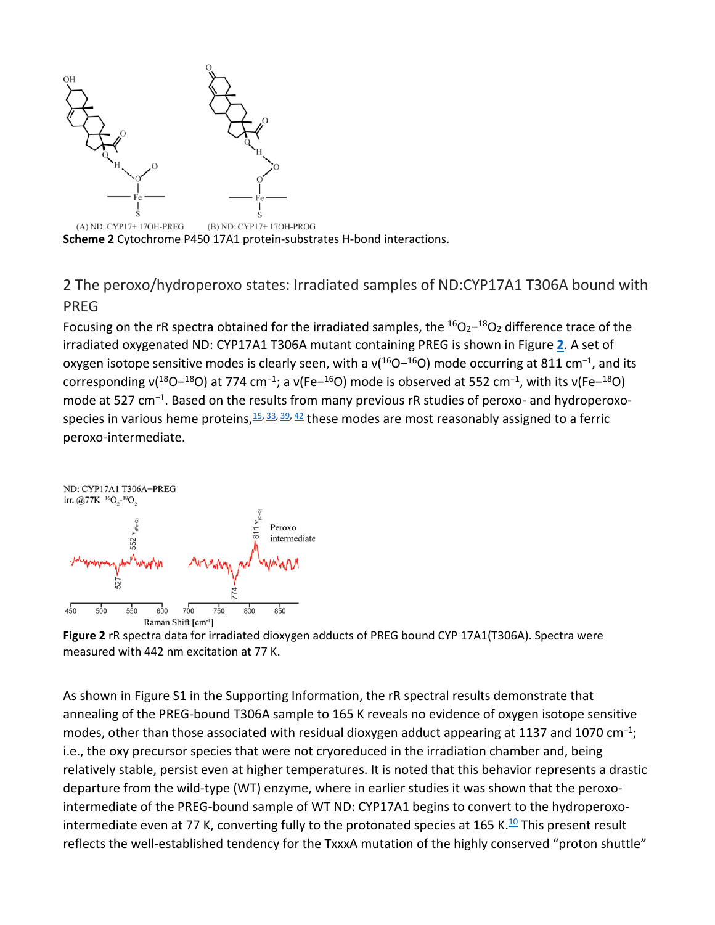

**Scheme 2** Cytochrome P450 17A1 protein-substrates H-bond interactions.

2 The peroxo/hydroperoxo states: Irradiated samples of ND:CYP17A1 T306A bound with PREG

Focusing on the rR spectra obtained for the irradiated samples, the <sup>16</sup>O<sub>2</sub>−<sup>18</sup>O<sub>2</sub> difference trace of the irradiated oxygenated ND: CYP17A1 T306A mutant containing PREG is shown in Figure **[2](https://chemistry-europe.onlinelibrary.wiley.com/doi/10.1002/chem.202003181#chem202003181-fig-0002)**. A set of oxygen isotope sensitive modes is clearly seen, with a  $v(16O-16O)$  mode occurring at 811 cm<sup>-1</sup>, and its corresponding  $v(^{18}O-^{18}O)$  at 774 cm<sup>-1</sup>; a  $v(Fe-^{16}O)$  mode is observed at 552 cm<sup>-1</sup>, with its  $v(Fe-^{18}O)$ mode at 527 cm<sup>−</sup>1. Based on the results from many previous rR studies of peroxo- and hydroperoxospecies in various heme proteins,  $\frac{15}{2}$ ,  $\frac{33}{2}$ ,  $\frac{39}{2}$ ,  $\frac{42}{2}$  $\frac{42}{2}$  $\frac{42}{2}$  these modes are most reasonably assigned to a ferric peroxo-intermediate.



**Figure 2** rR spectra data for irradiated dioxygen adducts of PREG bound CYP 17A1(T306A). Spectra were measured with 442 nm excitation at 77 K.

As shown in Figure S1 in the Supporting Information, the rR spectral results demonstrate that annealing of the PREG-bound T306A sample to 165 K reveals no evidence of oxygen isotope sensitive modes, other than those associated with residual dioxygen adduct appearing at 1137 and 1070 cm<sup>-1</sup>; i.e., the oxy precursor species that were not cryoreduced in the irradiation chamber and, being relatively stable, persist even at higher temperatures. It is noted that this behavior represents a drastic departure from the wild-type (WT) enzyme, where in earlier studies it was shown that the peroxointermediate of the PREG-bound sample of WT ND: CYP17A1 begins to convert to the hydroperoxointermediate even at 77 K, converting fully to the protonated species at 165 K.<sup>10</sup> This present result reflects the well-established tendency for the TxxxA mutation of the highly conserved "proton shuttle"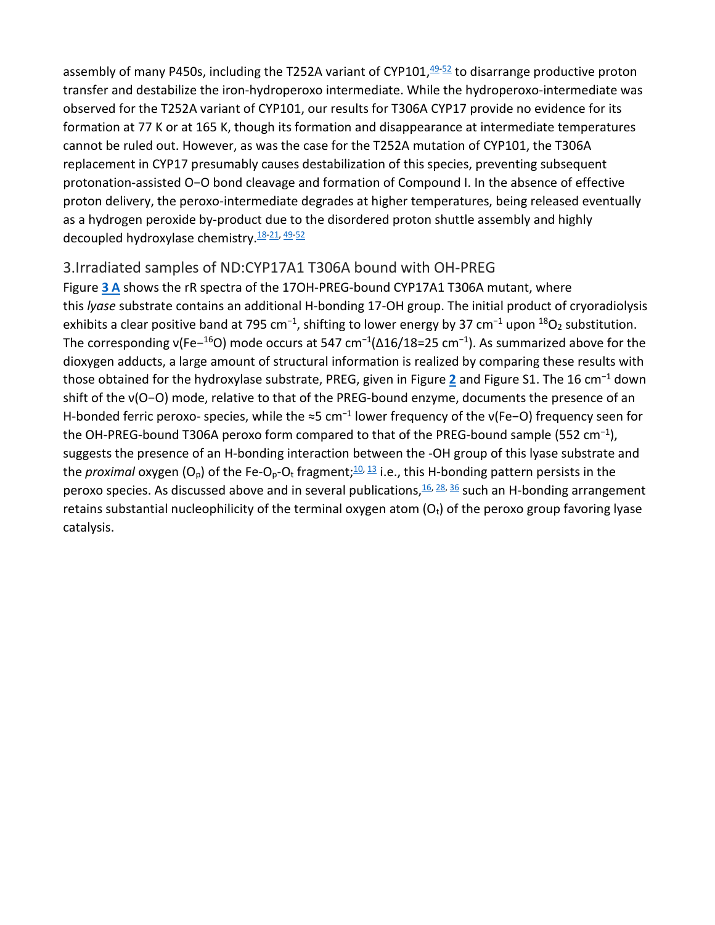assembly of many P450s, including the T2[52](https://chemistry-europe.onlinelibrary.wiley.com/doi/10.1002/chem.202003181#chem202003181-bib-0052)A variant of CYP101, $49-52$  to disarrange productive proton transfer and destabilize the iron-hydroperoxo intermediate. While the hydroperoxo-intermediate was observed for the T252A variant of CYP101, our results for T306A CYP17 provide no evidence for its formation at 77 K or at 165 K, though its formation and disappearance at intermediate temperatures cannot be ruled out. However, as was the case for the T252A mutation of CYP101, the T306A replacement in CYP17 presumably causes destabilization of this species, preventing subsequent protonation-assisted O−O bond cleavage and formation of Compound I. In the absence of effective proton delivery, the peroxo-intermediate degrades at higher temperatures, being released eventually as a hydrogen peroxide by-product due to the disordered proton shuttle assembly and highly decoupled hydroxylase chemistry.<sup>18[-21,](https://chemistry-europe.onlinelibrary.wiley.com/doi/10.1002/chem.202003181#chem202003181-bib-0021) [49-](https://chemistry-europe.onlinelibrary.wiley.com/doi/10.1002/chem.202003181#chem202003181-bib-0049)[52](https://chemistry-europe.onlinelibrary.wiley.com/doi/10.1002/chem.202003181#chem202003181-bib-0052)</sup>

#### 3.Irradiated samples of ND:CYP17A1 T306A bound with OH-PREG

Figure **[3 A](https://chemistry-europe.onlinelibrary.wiley.com/doi/10.1002/chem.202003181#chem202003181-fig-0003)** shows the rR spectra of the 17OH-PREG-bound CYP17A1 T306A mutant, where this *lyase* substrate contains an additional H-bonding 17-OH group. The initial product of cryoradiolysis exhibits a clear positive band at 795 cm<sup>-1</sup>, shifting to lower energy by 37 cm<sup>-1</sup> upon <sup>18</sup>O<sub>2</sub> substitution. The corresponding v(Fe-<sup>16</sup>O) mode occurs at 547 cm<sup>-1</sup>( $\Delta$ 16/18=25 cm<sup>-1</sup>). As summarized above for the dioxygen adducts, a large amount of structural information is realized by comparing these results with those obtained for the hydroxylase substrate, PREG, given in Figure **[2](https://chemistry-europe.onlinelibrary.wiley.com/doi/10.1002/chem.202003181#chem202003181-fig-0002)** and Figure S1. The 16 cm<sup>−</sup><sup>1</sup> down shift of the ν(O−O) mode, relative to that of the PREG-bound enzyme, documents the presence of an H-bonded ferric peroxo- species, while the ≈5 cm<sup>-1</sup> lower frequency of the v(Fe-O) frequency seen for the OH-PREG-bound T306A peroxo form compared to that of the PREG-bound sample (552 cm<sup>-1</sup>), suggests the presence of an H-bonding interaction between the -OH group of this lyase substrate and the *proximal* oxygen  $(O_p)$  of the Fe- $O_p$ - $O_t$  fragment;  $\frac{10}{3}$  i.e., this H-bonding pattern persists in the peroxo species. As discussed above and in several publications,  $\frac{16}{28}$ ,  $\frac{36}{28}$  $\frac{36}{28}$  $\frac{36}{28}$  such an H-bonding arrangement retains substantial nucleophilicity of the terminal oxygen atom  $(O_t)$  of the peroxo group favoring lyase catalysis.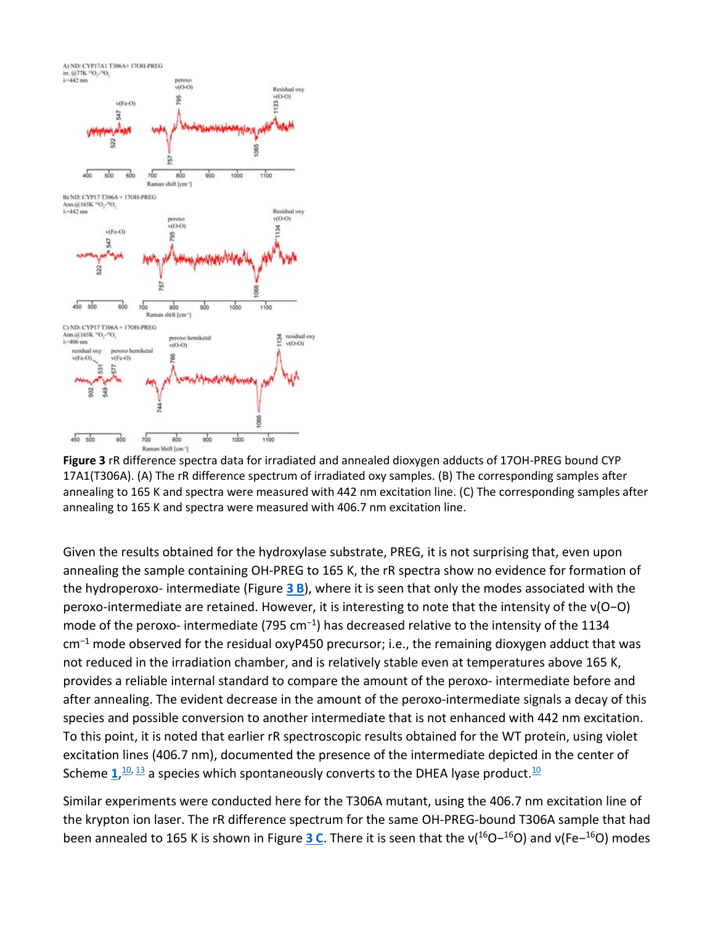

**Figure 3** rR difference spectra data for irradiated and annealed dioxygen adducts of 17OH-PREG bound CYP 17A1(T306A). (A) The rR difference spectrum of irradiated oxy samples. (B) The corresponding samples after annealing to 165 K and spectra were measured with 442 nm excitation line. (C) The corresponding samples after annealing to 165 K and spectra were measured with 406.7 nm excitation line.

Given the results obtained for the hydroxylase substrate, PREG, it is not surprising that, even upon annealing the sample containing OH-PREG to 165 K, the rR spectra show no evidence for formation of the hydroperoxo- intermediate (Figure **[3 B](https://chemistry-europe.onlinelibrary.wiley.com/doi/10.1002/chem.202003181#chem202003181-fig-0003)**), where it is seen that only the modes associated with the peroxo-intermediate are retained. However, it is interesting to note that the intensity of the ν(O−O) mode of the peroxo- intermediate (795 cm<sup>−</sup>1) has decreased relative to the intensity of the 1134  $cm^{-1}$  mode observed for the residual oxyP450 precursor; i.e., the remaining dioxygen adduct that was not reduced in the irradiation chamber, and is relatively stable even at temperatures above 165 K, provides a reliable internal standard to compare the amount of the peroxo- intermediate before and after annealing. The evident decrease in the amount of the peroxo-intermediate signals a decay of this species and possible conversion to another intermediate that is not enhanced with 442 nm excitation. To this point, it is noted that earlier rR spectroscopic results obtained for the WT protein, using violet excitation lines (406.7 nm), documented the presence of the intermediate depicted in the center of Scheme  $\underline{\mathbf{1}}$  $\underline{\mathbf{1}}$  $\underline{\mathbf{1}}$ ,<sup>[10,](https://chemistry-europe.onlinelibrary.wiley.com/doi/10.1002/chem.202003181#chem202003181-bib-0010) [13](https://chemistry-europe.onlinelibrary.wiley.com/doi/10.1002/chem.202003181#chem202003181-bib-0013)</sup> a species which spontaneously converts to the DHEA lyase product.<sup>10</sup>

Similar experiments were conducted here for the T306A mutant, using the 406.7 nm excitation line of the krypton ion laser. The rR difference spectrum for the same OH-PREG-bound T306A sample that had been annealed to 165 K is shown in Figure **[3 C](https://chemistry-europe.onlinelibrary.wiley.com/doi/10.1002/chem.202003181#chem202003181-fig-0003)**. There it is seen that the ν(<sup>16</sup>O−<sup>16</sup>O) and ν(Fe−16O) modes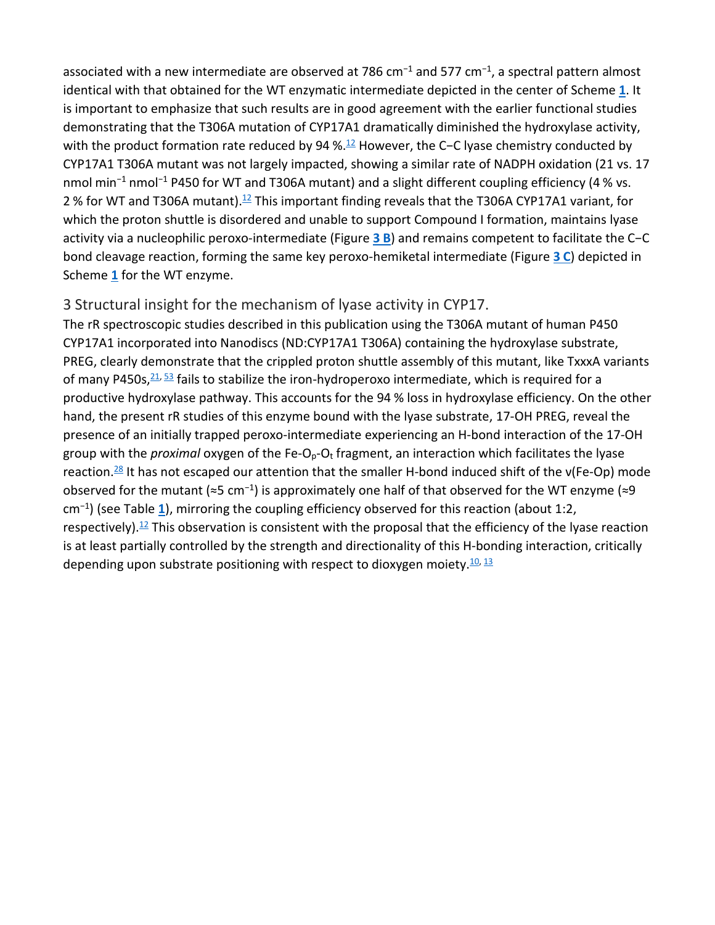associated with a new intermediate are observed at 786 cm<sup>-1</sup> and 577 cm<sup>-1</sup>, a spectral pattern almost identical with that obtained for the WT enzymatic intermediate depicted in the center of Scheme **[1](https://chemistry-europe.onlinelibrary.wiley.com/doi/10.1002/chem.202003181#chem202003181-fig-5001)**. It is important to emphasize that such results are in good agreement with the earlier functional studies demonstrating that the T306A mutation of CYP17A1 dramatically diminished the hydroxylase activity, with the product formation rate reduced by 94 %.<sup>[12](https://chemistry-europe.onlinelibrary.wiley.com/doi/10.1002/chem.202003181#chem202003181-bib-0012)</sup> However, the C−C lyase chemistry conducted by CYP17A1 T306A mutant was not largely impacted, showing a similar rate of NADPH oxidation (21 vs. 17 nmol min<sup>-1</sup> nmol<sup>-1</sup> P450 for WT and T306A mutant) and a slight different coupling efficiency (4 % vs. 2 $%$  for WT and T306A mutant).<sup>[12](https://chemistry-europe.onlinelibrary.wiley.com/doi/10.1002/chem.202003181#chem202003181-bib-0012)</sup> This important finding reveals that the T306A CYP17A1 variant, for which the proton shuttle is disordered and unable to support Compound I formation, maintains lyase activity via a nucleophilic peroxo-intermediate (Figure **[3 B](https://chemistry-europe.onlinelibrary.wiley.com/doi/10.1002/chem.202003181#chem202003181-fig-0003)**) and remains competent to facilitate the C−C bond cleavage reaction, forming the same key peroxo-hemiketal intermediate (Figure **[3 C](https://chemistry-europe.onlinelibrary.wiley.com/doi/10.1002/chem.202003181#chem202003181-fig-0003)**) depicted in Scheme **[1](https://chemistry-europe.onlinelibrary.wiley.com/doi/10.1002/chem.202003181#chem202003181-fig-5001)** for the WT enzyme.

#### 3 Structural insight for the mechanism of lyase activity in CYP17.

The rR spectroscopic studies described in this publication using the T306A mutant of human P450 CYP17A1 incorporated into Nanodiscs (ND:CYP17A1 T306A) containing the hydroxylase substrate, PREG, clearly demonstrate that the crippled proton shuttle assembly of this mutant, like TxxxA variants of many P450s,  $21$ ,  $53$  fails to stabilize the iron-hydroperoxo intermediate, which is required for a productive hydroxylase pathway. This accounts for the 94 % loss in hydroxylase efficiency. On the other hand, the present rR studies of this enzyme bound with the lyase substrate, 17-OH PREG, reveal the presence of an initially trapped peroxo-intermediate experiencing an H-bond interaction of the 17-OH group with the *proximal* oxygen of the Fe-O<sub>p</sub>-O<sub>t</sub> fragment, an interaction which facilitates the lyase reaction.<sup>28</sup> It has not escaped our attention that the smaller H-bond induced shift of the ν(Fe-Op) mode observed for the mutant (≈5 cm<sup>−</sup><sup>1</sup>) is approximately one half of that observed for the WT enzyme (≈9 cm<sup>−</sup>1) (see Table **[1](https://chemistry-europe.onlinelibrary.wiley.com/doi/10.1002/chem.202003181#chem202003181-tbl-0001)**), mirroring the coupling efficiency observed for this reaction (about 1:2, respectively).<sup>12</sup> This observation is consistent with the proposal that the efficiency of the lyase reaction is at least partially controlled by the strength and directionality of this H-bonding interaction, critically depending upon substrate positioning with respect to dioxygen moiety. $\frac{10}{13}$  $\frac{10}{13}$  $\frac{10}{13}$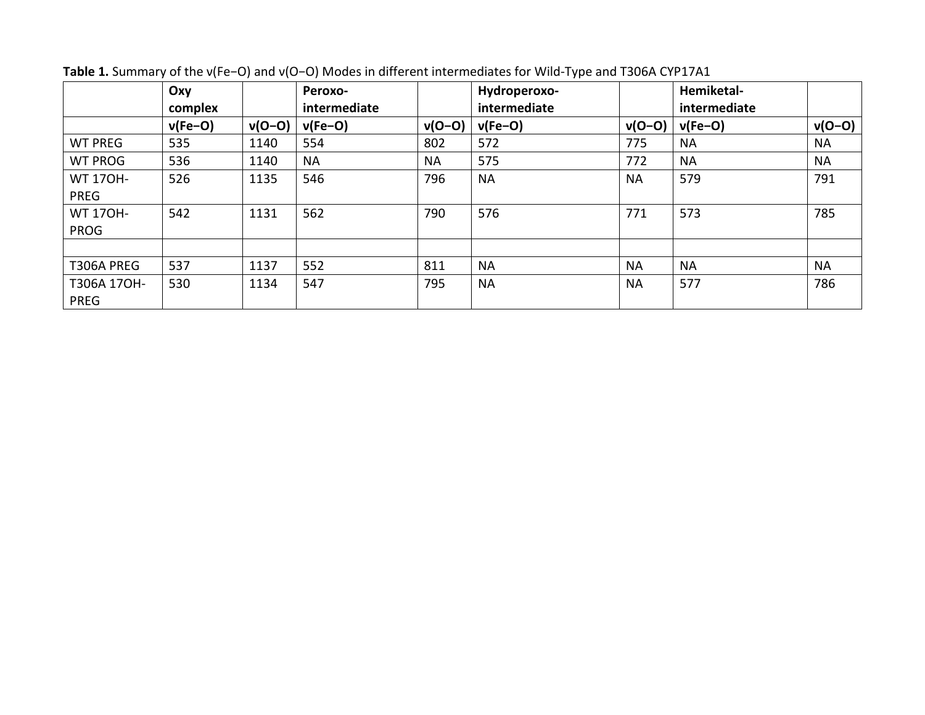|                 | Oxy<br>complex |          | Peroxo-<br>intermediate |           | Hydroperoxo-<br>intermediate |           | Hemiketal-<br>intermediate |           |
|-----------------|----------------|----------|-------------------------|-----------|------------------------------|-----------|----------------------------|-----------|
|                 | $v(Fe-O)$      | $v(O-O)$ | $v(Fe-O)$               | $v(O-O)$  | $v(Fe-O)$                    | $v(O-O)$  | $v(Fe-O)$                  | $v(O-O)$  |
| <b>WT PREG</b>  | 535            | 1140     | 554                     | 802       | 572                          | 775       | <b>NA</b>                  | <b>NA</b> |
| <b>WT PROG</b>  | 536            | 1140     | <b>NA</b>               | <b>NA</b> | 575                          | 772       | <b>NA</b>                  | <b>NA</b> |
| <b>WT 170H-</b> | 526            | 1135     | 546                     | 796       | <b>NA</b>                    | <b>NA</b> | 579                        | 791       |
| <b>PREG</b>     |                |          |                         |           |                              |           |                            |           |
| <b>WT 170H-</b> | 542            | 1131     | 562                     | 790       | 576                          | 771       | 573                        | 785       |
| <b>PROG</b>     |                |          |                         |           |                              |           |                            |           |
|                 |                |          |                         |           |                              |           |                            |           |
| T306A PREG      | 537            | 1137     | 552                     | 811       | <b>NA</b>                    | <b>NA</b> | <b>NA</b>                  | <b>NA</b> |
| T306A 17OH-     | 530            | 1134     | 547                     | 795       | <b>NA</b>                    | <b>NA</b> | 577                        | 786       |
| <b>PREG</b>     |                |          |                         |           |                              |           |                            |           |

**Table 1.** Summary of the ν(Fe−O) and ν(O−O) Modes in different intermediates for Wild-Type and T306A CYP17A1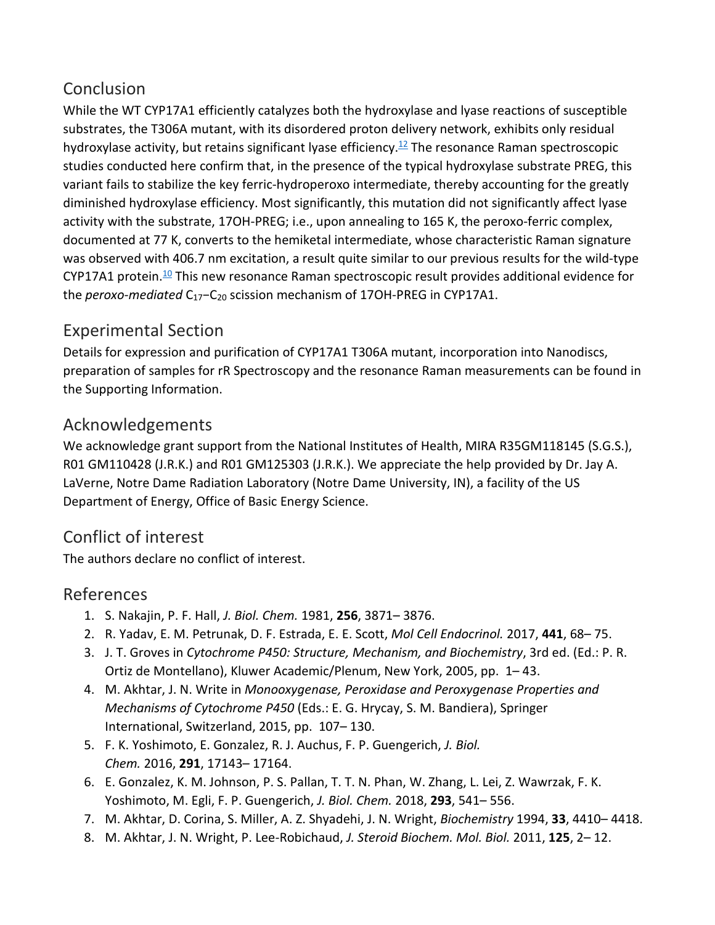## Conclusion

While the WT CYP17A1 efficiently catalyzes both the hydroxylase and lyase reactions of susceptible substrates, the T306A mutant, with its disordered proton delivery network, exhibits only residual hydroxylase activity, but retains significant lyase efficiency.<sup>12</sup> The resonance Raman spectroscopic studies conducted here confirm that, in the presence of the typical hydroxylase substrate PREG, this variant fails to stabilize the key ferric-hydroperoxo intermediate, thereby accounting for the greatly diminished hydroxylase efficiency. Most significantly, this mutation did not significantly affect lyase activity with the substrate, 17OH-PREG; i.e., upon annealing to 165 K, the peroxo-ferric complex, documented at 77 K, converts to the hemiketal intermediate, whose characteristic Raman signature was observed with 406.7 nm excitation, a result quite similar to our previous results for the wild-type CYP17A1 protein.<sup>10</sup> This new resonance Raman spectroscopic result provides additional evidence for the *peroxo-mediated* C<sub>17</sub>−C<sub>20</sub> scission mechanism of 17OH-PREG in CYP17A1.

## Experimental Section

Details for expression and purification of CYP17A1 T306A mutant, incorporation into Nanodiscs, preparation of samples for rR Spectroscopy and the resonance Raman measurements can be found in the Supporting Information.

## Acknowledgements

We acknowledge grant support from the National Institutes of Health, MIRA R35GM118145 (S.G.S.), R01 GM110428 (J.R.K.) and R01 GM125303 (J.R.K.). We appreciate the help provided by Dr. Jay A. LaVerne, Notre Dame Radiation Laboratory (Notre Dame University, IN), a facility of the US Department of Energy, Office of Basic Energy Science.

## Conflict of interest

The authors declare no conflict of interest.

### References

- 1. S. Nakajin, P. F. Hall, *J. Biol. Chem.* 1981, **256**, 3871– 3876.
- 2. R. Yadav, E. M. Petrunak, D. F. Estrada, E. E. Scott, *Mol Cell Endocrinol.* 2017, **441**, 68– 75.
- 3. J. T. Groves in *Cytochrome P450: Structure, Mechanism, and Biochemistry*, 3rd ed. (Ed.: P. R. Ortiz de Montellano), Kluwer Academic/Plenum, New York, 2005, pp. 1– 43.
- 4. M. Akhtar, J. N. Write in *Monooxygenase, Peroxidase and Peroxygenase Properties and Mechanisms of Cytochrome P450* (Eds.: E. G. Hrycay, S. M. Bandiera), Springer International, Switzerland, 2015, pp. 107– 130.
- 5. F. K. Yoshimoto, E. Gonzalez, R. J. Auchus, F. P. Guengerich, *J. Biol. Chem.* 2016, **291**, 17143– 17164.
- 6. E. Gonzalez, K. M. Johnson, P. S. Pallan, T. T. N. Phan, W. Zhang, L. Lei, Z. Wawrzak, F. K. Yoshimoto, M. Egli, F. P. Guengerich, *J. Biol. Chem.* 2018, **293**, 541– 556.
- 7. M. Akhtar, D. Corina, S. Miller, A. Z. Shyadehi, J. N. Wright, *Biochemistry* 1994, **33**, 4410– 4418.
- 8. M. Akhtar, J. N. Wright, P. Lee-Robichaud, *J. Steroid Biochem. Mol. Biol.* 2011, **125**, 2– 12.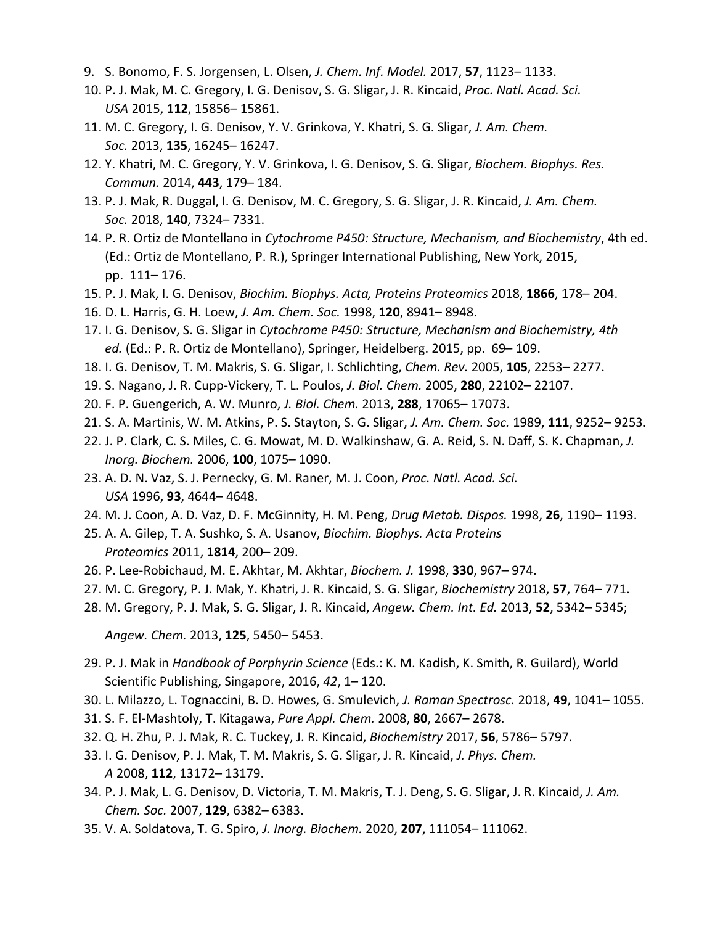- 9. S. Bonomo, F. S. Jorgensen, L. Olsen, *J. Chem. Inf. Model.* 2017, **57**, 1123– 1133.
- 10. P. J. Mak, M. C. Gregory, I. G. Denisov, S. G. Sligar, J. R. Kincaid, *Proc. Natl. Acad. Sci. USA* 2015, **112**, 15856– 15861.
- 11. M. C. Gregory, I. G. Denisov, Y. V. Grinkova, Y. Khatri, S. G. Sligar, *J. Am. Chem. Soc.* 2013, **135**, 16245– 16247.
- 12. Y. Khatri, M. C. Gregory, Y. V. Grinkova, I. G. Denisov, S. G. Sligar, *Biochem. Biophys. Res. Commun.* 2014, **443**, 179– 184.
- 13. P. J. Mak, R. Duggal, I. G. Denisov, M. C. Gregory, S. G. Sligar, J. R. Kincaid, *J. Am. Chem. Soc.* 2018, **140**, 7324– 7331.
- 14. P. R. Ortiz de Montellano in *Cytochrome P450: Structure, Mechanism, and Biochemistry*, 4th ed. (Ed.: Ortiz de Montellano, P. R.), Springer International Publishing, New York, 2015, pp. 111– 176.
- 15. P. J. Mak, I. G. Denisov, *Biochim. Biophys. Acta, Proteins Proteomics* 2018, **1866**, 178– 204.
- 16. D. L. Harris, G. H. Loew, *J. Am. Chem. Soc.* 1998, **120**, 8941– 8948.
- 17. I. G. Denisov, S. G. Sligar in *Cytochrome P450: Structure, Mechanism and Biochemistry, 4th ed.* (Ed.: P. R. Ortiz de Montellano), Springer, Heidelberg. 2015, pp. 69– 109.
- 18. I. G. Denisov, T. M. Makris, S. G. Sligar, I. Schlichting, *Chem. Rev.* 2005, **105**, 2253– 2277.
- 19. S. Nagano, J. R. Cupp-Vickery, T. L. Poulos, *J. Biol. Chem.* 2005, **280**, 22102– 22107.
- 20. F. P. Guengerich, A. W. Munro, *J. Biol. Chem.* 2013, **288**, 17065– 17073.
- 21. S. A. Martinis, W. M. Atkins, P. S. Stayton, S. G. Sligar, *J. Am. Chem. Soc.* 1989, **111**, 9252– 9253.
- 22. J. P. Clark, C. S. Miles, C. G. Mowat, M. D. Walkinshaw, G. A. Reid, S. N. Daff, S. K. Chapman, *J. Inorg. Biochem.* 2006, **100**, 1075– 1090.
- 23. A. D. N. Vaz, S. J. Pernecky, G. M. Raner, M. J. Coon, *Proc. Natl. Acad. Sci. USA* 1996, **93**, 4644– 4648.
- 24. M. J. Coon, A. D. Vaz, D. F. McGinnity, H. M. Peng, *Drug Metab. Dispos.* 1998, **26**, 1190– 1193.
- 25. A. A. Gilep, T. A. Sushko, S. A. Usanov, *Biochim. Biophys. Acta Proteins Proteomics* 2011, **1814**, 200– 209.
- 26. P. Lee-Robichaud, M. E. Akhtar, M. Akhtar, *Biochem. J.* 1998, **330**, 967– 974.
- 27. M. C. Gregory, P. J. Mak, Y. Khatri, J. R. Kincaid, S. G. Sligar, *Biochemistry* 2018, **57**, 764– 771.
- 28. M. Gregory, P. J. Mak, S. G. Sligar, J. R. Kincaid, *Angew. Chem. Int. Ed.* 2013, **52**, 5342– 5345;

*Angew. Chem.* 2013, **125**, 5450– 5453.

- 29. P. J. Mak in *Handbook of Porphyrin Science* (Eds.: K. M. Kadish, K. Smith, R. Guilard), World Scientific Publishing, Singapore, 2016, *42*, 1– 120.
- 30. L. Milazzo, L. Tognaccini, B. D. Howes, G. Smulevich, *J. Raman Spectrosc.* 2018, **49**, 1041– 1055.
- 31. S. F. El-Mashtoly, T. Kitagawa, *Pure Appl. Chem.* 2008, **80**, 2667– 2678.
- 32. Q. H. Zhu, P. J. Mak, R. C. Tuckey, J. R. Kincaid, *Biochemistry* 2017, **56**, 5786– 5797.
- 33. I. G. Denisov, P. J. Mak, T. M. Makris, S. G. Sligar, J. R. Kincaid, *J. Phys. Chem. A* 2008, **112**, 13172– 13179.
- 34. P. J. Mak, L. G. Denisov, D. Victoria, T. M. Makris, T. J. Deng, S. G. Sligar, J. R. Kincaid, *J. Am. Chem. Soc.* 2007, **129**, 6382– 6383.
- 35. V. A. Soldatova, T. G. Spiro, *J. Inorg. Biochem.* 2020, **207**, 111054– 111062.